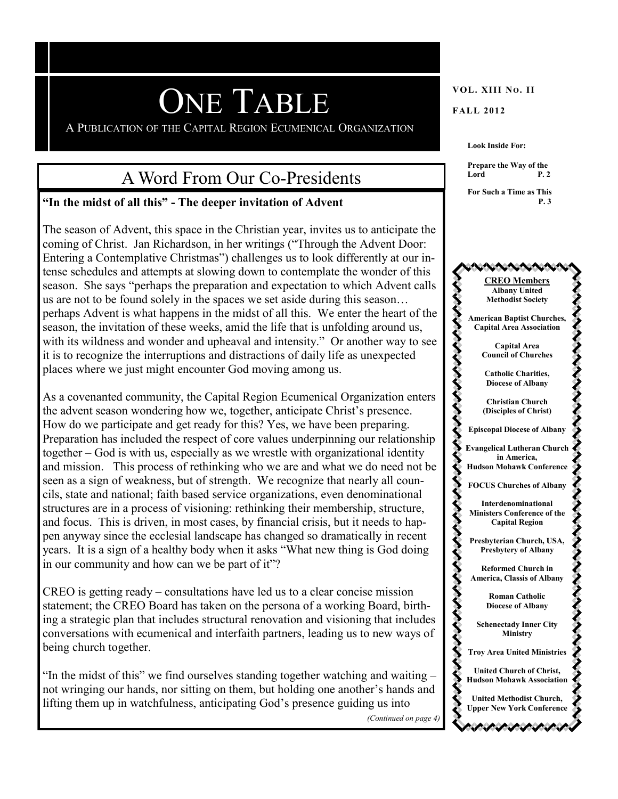# **ONE TABLE** VOL. XIII NO. II

A PUBLICATION OF THE CAPITAL REGION ECUMENICAL ORGANIZATION

## A Word From Our Co-Presidents

#### **"In the midst of all this" - The deeper invitation of Advent**

The season of Advent, this space in the Christian year, invites us to anticipate the coming of Christ. Jan Richardson, in her writings ("Through the Advent Door: Entering a Contemplative Christmas") challenges us to look differently at our intense schedules and attempts at slowing down to contemplate the wonder of this season. She says "perhaps the preparation and expectation to which Advent calls us are not to be found solely in the spaces we set aside during this season… perhaps Advent is what happens in the midst of all this. We enter the heart of the season, the invitation of these weeks, amid the life that is unfolding around us, with its wildness and wonder and upheaval and intensity." Or another way to see it is to recognize the interruptions and distractions of daily life as unexpected places where we just might encounter God moving among us.

As a covenanted community, the Capital Region Ecumenical Organization enters the advent season wondering how we, together, anticipate Christ's presence. How do we participate and get ready for this? Yes, we have been preparing. Preparation has included the respect of core values underpinning our relationship together – God is with us, especially as we wrestle with organizational identity and mission. This process of rethinking who we are and what we do need not be seen as a sign of weakness, but of strength. We recognize that nearly all councils, state and national; faith based service organizations, even denominational structures are in a process of visioning: rethinking their membership, structure, and focus. This is driven, in most cases, by financial crisis, but it needs to happen anyway since the ecclesial landscape has changed so dramatically in recent years. It is a sign of a healthy body when it asks "What new thing is God doing in our community and how can we be part of it"?

CREO is getting ready – consultations have led us to a clear concise mission statement; the CREO Board has taken on the persona of a working Board, birthing a strategic plan that includes structural renovation and visioning that includes conversations with ecumenical and interfaith partners, leading us to new ways of being church together.

"In the midst of this" we find ourselves standing together watching and waiting – not wringing our hands, nor sitting on them, but holding one another's hands and lifting them up in watchfulness, anticipating God's presence guiding us into

**Look Inside For:**

**Prepare the Way of the Lord P. 2** 

**For Such a Time as This P. 3**



*(Continued on page 4)*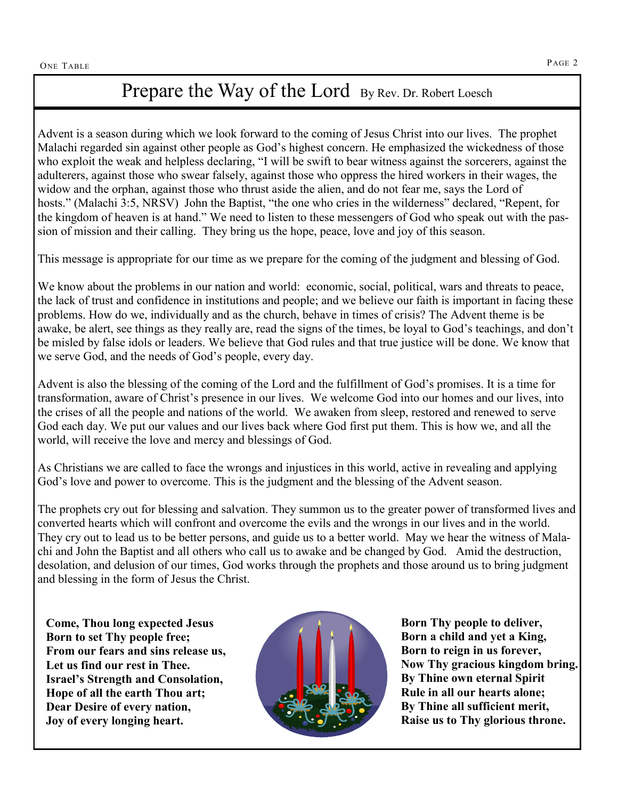### Prepare the Way of the Lord By Rev. Dr. Robert Loesch

Advent is a season during which we look forward to the coming of Jesus Christ into our lives. The prophet Malachi regarded sin against other people as God's highest concern. He emphasized the wickedness of those who exploit the weak and helpless declaring, "I will be swift to bear witness against the sorcerers, against the adulterers, against those who swear falsely, against those who oppress the hired workers in their wages, the widow and the orphan, against those who thrust aside the alien, and do not fear me, says the Lord of hosts." (Malachi 3:5, NRSV) John the Baptist, "the one who cries in the wilderness" declared, "Repent, for the kingdom of heaven is at hand." We need to listen to these messengers of God who speak out with the passion of mission and their calling. They bring us the hope, peace, love and joy of this season.

This message is appropriate for our time as we prepare for the coming of the judgment and blessing of God.

We know about the problems in our nation and world: economic, social, political, wars and threats to peace, the lack of trust and confidence in institutions and people; and we believe our faith is important in facing these problems. How do we, individually and as the church, behave in times of crisis? The Advent theme is be awake, be alert, see things as they really are, read the signs of the times, be loyal to God's teachings, and don't be misled by false idols or leaders. We believe that God rules and that true justice will be done. We know that we serve God, and the needs of God's people, every day.

Advent is also the blessing of the coming of the Lord and the fulfillment of God's promises. It is a time for transformation, aware of Christ's presence in our lives. We welcome God into our homes and our lives, into the crises of all the people and nations of the world. We awaken from sleep, restored and renewed to serve God each day. We put our values and our lives back where God first put them. This is how we, and all the world, will receive the love and mercy and blessings of God.

As Christians we are called to face the wrongs and injustices in this world, active in revealing and applying God's love and power to overcome. This is the judgment and the blessing of the Advent season.

They cry out to lead us to be better persons, and guide us to a better world. May we hear the witness of Mala<br>chi and John the Baptist and all others who call us to awake and be changed by God. Amid the destruction, The prophets cry out for blessing and salvation. They summon us to the greater power of transformed lives and converted hearts which will confront and overcome the evils and the wrongs in our lives and in the world. They cry out to lead us to be better persons, and guide us to a better world. May we hear the witness of Maladesolation, and delusion of our times, God works through the prophets and those around us to bring judgment and blessing in the form of Jesus the Christ.

**Come, Thou long expected Jesus Born to set Thy people free; From our fears and sins release us, Let us find our rest in Thee. Israel's Strength and Consolation, Hope of all the earth Thou art; Dear Desire of every nation, Joy of every longing heart.**



**Born Thy people to deliver, Born a child and yet a King, Born to reign in us forever, Now Thy gracious kingdom bring. By Thine own eternal Spirit Rule in all our hearts alone; By Thine all sufficient merit, Raise us to Thy glorious throne.**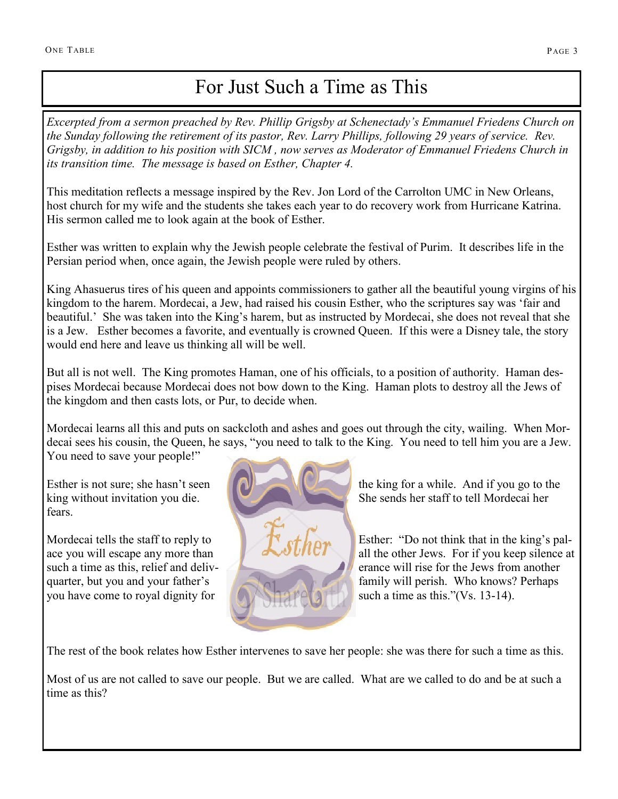## For Just Such a Time as This

*Excerpted from a sermon preached by Rev. Phillip Grigsby at Schenectady's Emmanuel Friedens Church on the Sunday following the retirement of its pastor, Rev. Larry Phillips, following 29 years of service. Rev. Grigsby, in addition to his position with SICM , now serves as Moderator of Emmanuel Friedens Church in its transition time. The message is based on Esther, Chapter 4.*

This meditation reflects a message inspired by the Rev. Jon Lord of the Carrolton UMC in New Orleans, host church for my wife and the students she takes each year to do recovery work from Hurricane Katrina. His sermon called me to look again at the book of Esther.

Esther was written to explain why the Jewish people celebrate the festival of Purim. It describes life in the Persian period when, once again, the Jewish people were ruled by others.

King Ahasuerus tires of his queen and appoints commissioners to gather all the beautiful young virgins of his kingdom to the harem. Mordecai, a Jew, had raised his cousin Esther, who the scriptures say was 'fair and beautiful.' She was taken into the King's harem, but as instructed by Mordecai, she does not reveal that she is a Jew. Esther becomes a favorite, and eventually is crowned Queen. If this were a Disney tale, the story would end here and leave us thinking all will be well.

But all is not well. The King promotes Haman, one of his officials, to a position of authority. Haman despises Mordecai because Mordecai does not bow down to the King. Haman plots to destroy all the Jews of the kingdom and then casts lots, or Pur, to decide when.

Mordecai learns all this and puts on sackcloth and ashes and goes out through the city, wailing. When Mordecai sees his cousin, the Queen, he says, "you need to talk to the King. You need to tell him you are a Jew. You need to save your people!"

fears.

you have come to royal dignity for  $\mathbb{Z}[\mathbb{Z}[\mathbb{Z}[\mathbb{Z}]]]$  such a time as this."(Vs. 13-14).



Esther is not sure; she hasn't seen  $\Box$ king without invitation you die. She sends her staff to tell Mordecai her

Mordecai tells the staff to reply to **Extract Lines.** Esther: "Do not think that in the king's palace you will escape any more than all  $\mathcal{A}$  all the other Jews. For if you keep silence at such a time as this, relief and delivquarter, but you and your father's **family will perish.** Who knows? Perhaps

The rest of the book relates how Esther intervenes to save her people: she was there for such a time as this.

Most of us are not called to save our people. But we are called. What are we called to do and be at such a time as this?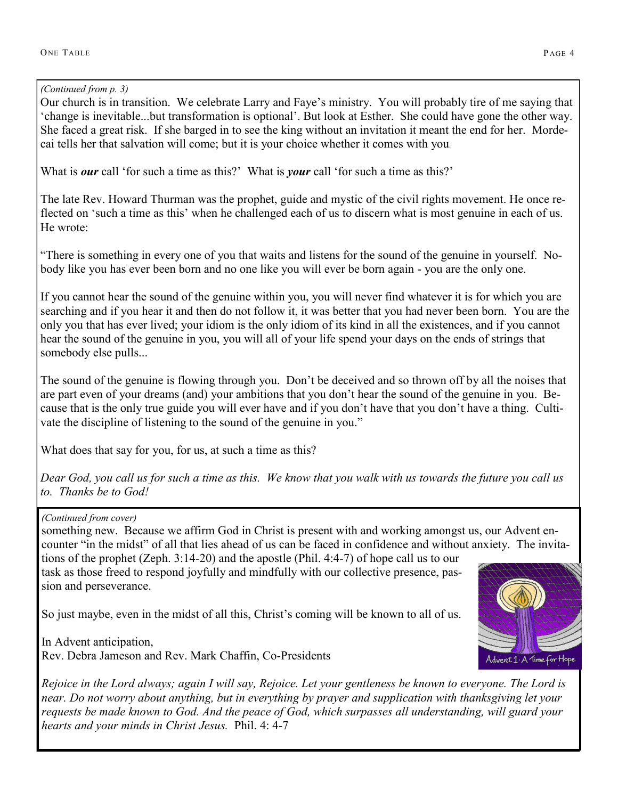#### *(Continued from p. 3)*

Our church is in transition. We celebrate Larry and Faye's ministry. You will probably tire of me saying that 'change is inevitable...but transformation is optional'. But look at Esther. She could have gone the other way. She faced a great risk. If she barged in to see the king without an invitation it meant the end for her. Mordecai tells her that salvation will come; but it is your choice whether it comes with you*.* 

What is *our* call 'for such a time as this?' What is *your* call 'for such a time as this?'

The late Rev. Howard Thurman was the prophet, guide and mystic of the civil rights movement. He once reflected on 'such a time as this' when he challenged each of us to discern what is most genuine in each of us. He wrote:

"There is something in every one of you that waits and listens for the sound of the genuine in yourself. Nobody like you has ever been born and no one like you will ever be born again - you are the only one.

If you cannot hear the sound of the genuine within you, you will never find whatever it is for which you are searching and if you hear it and then do not follow it, it was better that you had never been born. You are the only you that has ever lived; your idiom is the only idiom of its kind in all the existences, and if you cannot hear the sound of the genuine in you, you will all of your life spend your days on the ends of strings that somebody else pulls...

The sound of the genuine is flowing through you. Don't be deceived and so thrown off by all the noises that are part even of your dreams (and) your ambitions that you don't hear the sound of the genuine in you. Because that is the only true guide you will ever have and if you don't have that you don't have a thing. Cultivate the discipline of listening to the sound of the genuine in you."

What does that say for you, for us, at such a time as this?

*Dear God, you call us for such a time as this. We know that you walk with us towards the future you call us to. Thanks be to God!* 

*(Continued from cover)*

something new. Because we affirm God in Christ is present with and working amongst us, our Advent encounter "in the midst" of all that lies ahead of us can be faced in confidence and without anxiety. The invitations of the prophet (Zeph. 3:14-20) and the apostle (Phil. 4:4-7) of hope call us to our task as those freed to respond joyfully and mindfully with our collective presence, passion and perseverance.

So just maybe, even in the midst of all this, Christ's coming will be known to all of us.

In Advent anticipation, Rev. Debra Jameson and Rev. Mark Chaffin, Co-Presidents Advent 1: A 1ime for Hope

*Rejoice in the Lord always; again I will say, Rejoice. Let your gentleness be known to everyone. The Lord is near. Do not worry about anything, but in everything by prayer and supplication with thanksgiving let your requests be made known to God. And the peace of God, which surpasses all understanding, will guard your hearts and your minds in Christ Jesus.* Phil. 4: 4-7